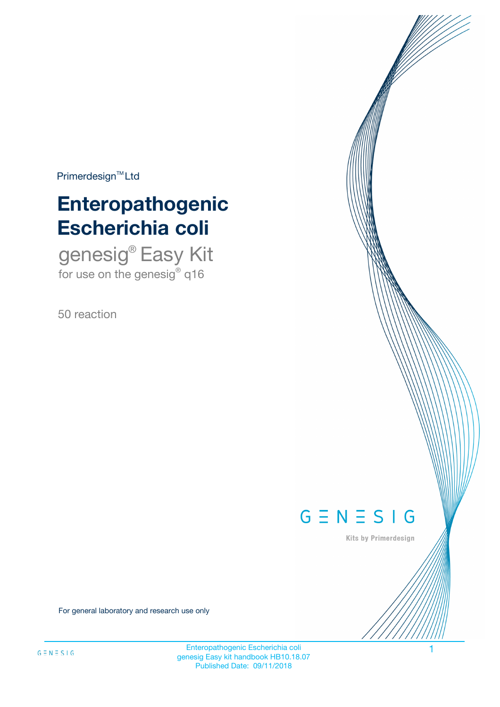$Primerdesign^{\text{TM}}Ltd$ 

# **Enteropathogenic Escherichia coli**

genesig® Easy Kit for use on the genesig $^{\circ}$  q16

50 reaction



Kits by Primerdesign

For general laboratory and research use only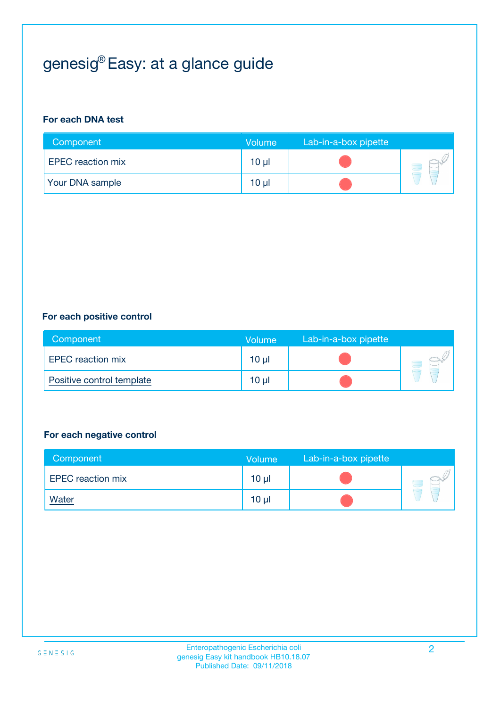## genesig® Easy: at a glance guide

#### **For each DNA test**

| Component                | <b>Volume</b>   | Lab-in-a-box pipette |  |
|--------------------------|-----------------|----------------------|--|
| <b>EPEC</b> reaction mix | 10 µl           |                      |  |
| <b>Your DNA sample</b>   | 10 <sub>µ</sub> |                      |  |

#### **For each positive control**

| Component                 | Volume          | Lab-in-a-box pipette |  |
|---------------------------|-----------------|----------------------|--|
| <b>EPEC</b> reaction mix  | 10 <sub>µ</sub> |                      |  |
| Positive control template | 10 <sub>µ</sub> |                      |  |

#### **For each negative control**

| Component                | <b>Volume</b>   | Lab-in-a-box pipette |  |
|--------------------------|-----------------|----------------------|--|
| <b>EPEC</b> reaction mix | 10 <sub>µ</sub> |                      |  |
| <u>Water</u>             | 10 <sub>µ</sub> |                      |  |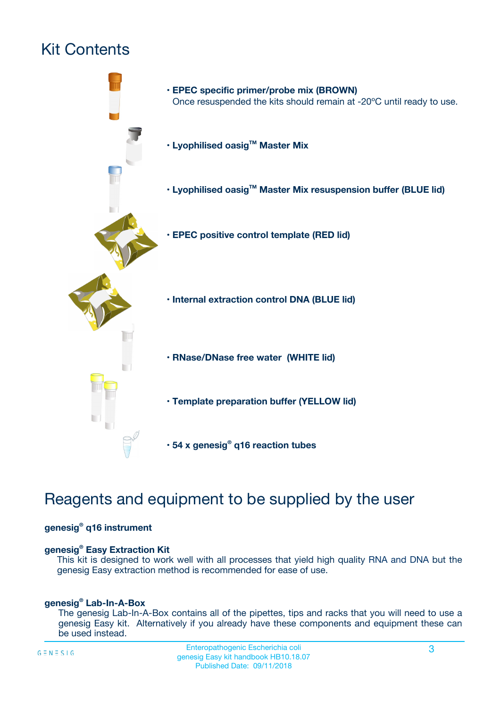## Kit Contents



## Reagents and equipment to be supplied by the user

#### **genesig® q16 instrument**

#### **genesig® Easy Extraction Kit**

This kit is designed to work well with all processes that yield high quality RNA and DNA but the genesig Easy extraction method is recommended for ease of use.

#### **genesig® Lab-In-A-Box**

The genesig Lab-In-A-Box contains all of the pipettes, tips and racks that you will need to use a genesig Easy kit. Alternatively if you already have these components and equipment these can be used instead.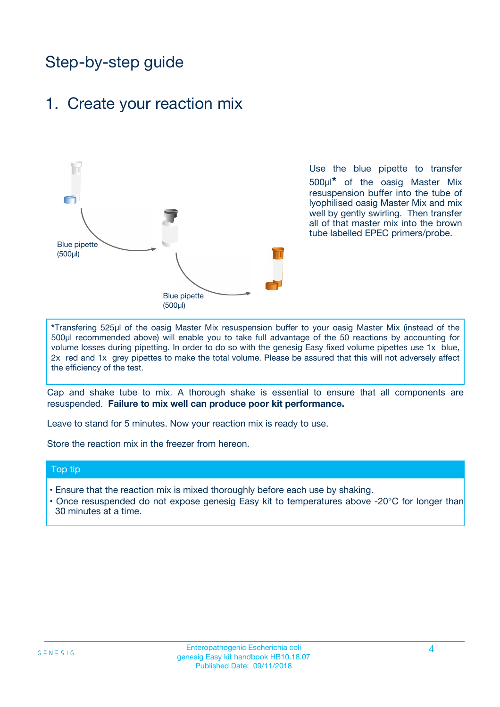## Step-by-step guide

### 1. Create your reaction mix



Use the blue pipette to transfer 500µl**\*** of the oasig Master Mix resuspension buffer into the tube of lyophilised oasig Master Mix and mix well by gently swirling. Then transfer all of that master mix into the brown tube labelled EPEC primers/probe.

**\***Transfering 525µl of the oasig Master Mix resuspension buffer to your oasig Master Mix (instead of the 500µl recommended above) will enable you to take full advantage of the 50 reactions by accounting for volume losses during pipetting. In order to do so with the genesig Easy fixed volume pipettes use 1x blue, 2x red and 1x grey pipettes to make the total volume. Please be assured that this will not adversely affect the efficiency of the test.

Cap and shake tube to mix. A thorough shake is essential to ensure that all components are resuspended. **Failure to mix well can produce poor kit performance.**

Leave to stand for 5 minutes. Now your reaction mix is ready to use.

Store the reaction mix in the freezer from hereon.

#### Top tip

- Ensure that the reaction mix is mixed thoroughly before each use by shaking.
- **•** Once resuspended do not expose genesig Easy kit to temperatures above -20°C for longer than 30 minutes at a time.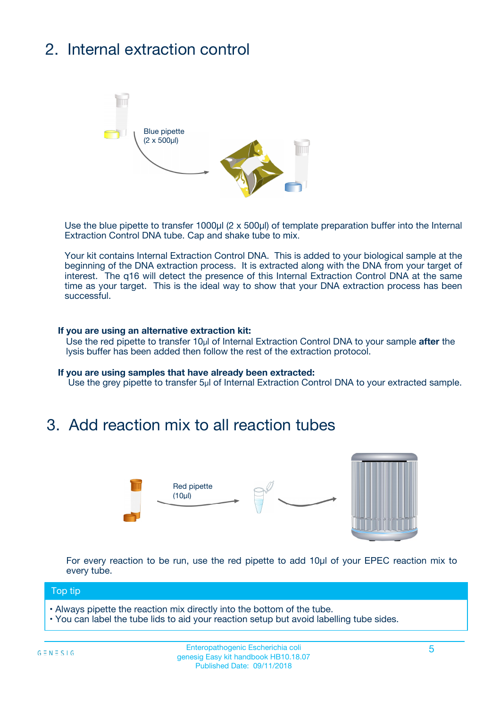## 2. Internal extraction control



Use the blue pipette to transfer 1000µl (2 x 500µl) of template preparation buffer into the Internal Extraction Control DNA tube. Cap and shake tube to mix.

Your kit contains Internal Extraction Control DNA. This is added to your biological sample at the beginning of the DNA extraction process. It is extracted along with the DNA from your target of interest. The q16 will detect the presence of this Internal Extraction Control DNA at the same time as your target. This is the ideal way to show that your DNA extraction process has been successful.

#### **If you are using an alternative extraction kit:**

Use the red pipette to transfer 10µl of Internal Extraction Control DNA to your sample **after** the lysis buffer has been added then follow the rest of the extraction protocol.

#### **If you are using samples that have already been extracted:**

Use the grey pipette to transfer 5µl of Internal Extraction Control DNA to your extracted sample.

### 3. Add reaction mix to all reaction tubes



For every reaction to be run, use the red pipette to add 10µl of your EPEC reaction mix to every tube.

#### Top tip

- Always pipette the reaction mix directly into the bottom of the tube.
- You can label the tube lids to aid your reaction setup but avoid labelling tube sides.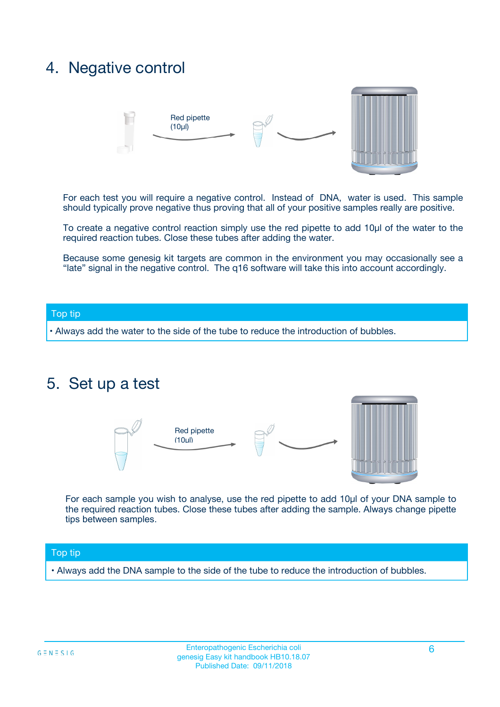### 4. Negative control



For each test you will require a negative control. Instead of DNA, water is used. This sample should typically prove negative thus proving that all of your positive samples really are positive.

To create a negative control reaction simply use the red pipette to add 10µl of the water to the required reaction tubes. Close these tubes after adding the water.

Because some genesig kit targets are common in the environment you may occasionally see a "late" signal in the negative control. The q16 software will take this into account accordingly.

#### Top tip

**•** Always add the water to the side of the tube to reduce the introduction of bubbles.

### 5. Set up a test



For each sample you wish to analyse, use the red pipette to add 10µl of your DNA sample to the required reaction tubes. Close these tubes after adding the sample. Always change pipette tips between samples.

#### Top tip

**•** Always add the DNA sample to the side of the tube to reduce the introduction of bubbles.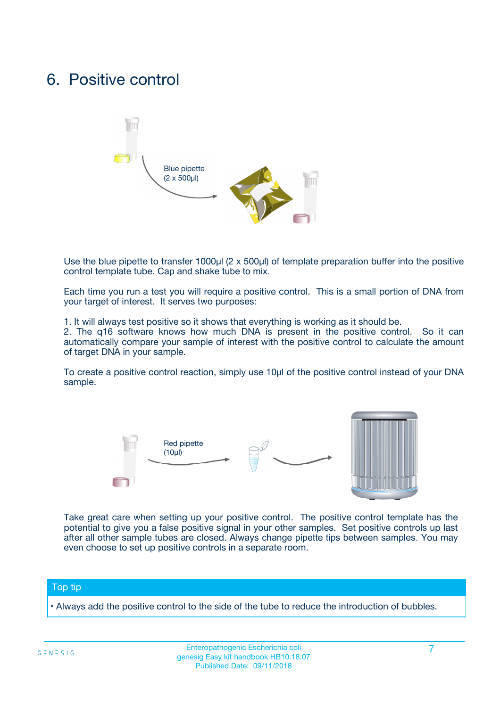### 6. Positive control



Use the blue pipette to transfer 1000µl (2 x 500µl) of template preparation buffer into the positive control template tube. Cap and shake tube to mix.

Each time you run a test you will require a positive control. This is a small portion of DNA from your target of interest. It serves two purposes:

1. It will always test positive so it shows that everything is working as it should be.

2. The q16 software knows how much DNA is present in the positive control. So it can automatically compare your sample of interest with the positive control to calculate the amount of target DNA in your sample.

To create a positive control reaction, simply use 10µl of the positive control instead of your DNA sample.



Take great care when setting up your positive control. The positive control template has the potential to give you a false positive signal in your other samples. Set positive controls up last after all other sample tubes are closed. Always change pipette tips between samples. You may even choose to set up positive controls in a separate room.

#### Top tip

**•** Always add the positive control to the side of the tube to reduce the introduction of bubbles.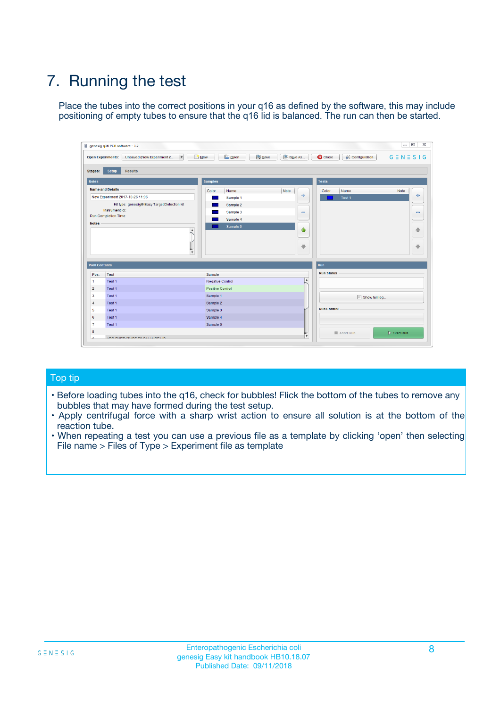## 7. Running the test

Place the tubes into the correct positions in your q16 as defined by the software, this may include positioning of empty tubes to ensure that the q16 lid is balanced. The run can then be started.

|                      | genesig q16 PCR software - 1.2                                               |                                |                              |                                          | $\begin{array}{c c c c} \hline \multicolumn{3}{c }{\textbf{0}} & \multicolumn{3}{c }{\textbf{0}} \end{array}$<br>$\Sigma\!3$ |
|----------------------|------------------------------------------------------------------------------|--------------------------------|------------------------------|------------------------------------------|------------------------------------------------------------------------------------------------------------------------------|
|                      | $\vert \cdot \vert$<br><b>Open Experiments:</b><br>Unsaved (New Experiment 2 | Open<br>Save<br>$\sqrt{9}$ New | Save As                      | <b>C</b> Close<br><b>X</b> Configuration | $G \equiv N \equiv S \mid G$                                                                                                 |
| <b>Stages:</b>       | Setup<br><b>Results</b>                                                      |                                |                              |                                          |                                                                                                                              |
| <b>Notes</b>         |                                                                              | <b>Samples</b>                 |                              | <b>Tests</b>                             |                                                                                                                              |
|                      | <b>Name and Details</b>                                                      | Color<br>Name                  | Note                         | Color<br>Name                            | Note                                                                                                                         |
|                      | New Experiment 2017-10-26 11:06                                              | Sample 1                       | ÷                            | Test 1                                   | ÷                                                                                                                            |
|                      | Kit type: genesig® Easy Target Detection kit                                 | Sample 2                       |                              |                                          |                                                                                                                              |
|                      | Instrument Id.:                                                              | Sample 3                       | $\qquad \qquad \blacksquare$ |                                          | $\qquad \qquad \blacksquare$                                                                                                 |
|                      | <b>Run Completion Time:</b>                                                  | Sample 4                       |                              |                                          |                                                                                                                              |
| <b>Notes</b>         | <b>A</b><br>v                                                                | Sample 5                       | $\triangle$<br>$\oplus$      |                                          | 4<br>₩                                                                                                                       |
| <b>Well Contents</b> |                                                                              |                                |                              | Run                                      |                                                                                                                              |
| Pos.                 | Test                                                                         | Sample                         |                              | <b>Run Status</b>                        |                                                                                                                              |
| $\mathbf{1}$         | Test 1                                                                       | <b>Negative Control</b>        | $\blacktriangle$             |                                          |                                                                                                                              |
| $\overline{2}$       | Test 1                                                                       | <b>Positive Control</b>        |                              |                                          |                                                                                                                              |
| 3                    | Test 1                                                                       | Sample 1                       |                              | Show full log                            |                                                                                                                              |
| $\overline{4}$       | Test 1                                                                       | Sample 2                       |                              |                                          |                                                                                                                              |
| 5                    | Test 1                                                                       | Sample 3                       |                              | <b>Run Control</b>                       |                                                                                                                              |
| 6                    | Test 1                                                                       | Sample 4                       |                              |                                          |                                                                                                                              |
| $\overline{7}$       | Test 1                                                                       | Sample 5                       |                              |                                          |                                                                                                                              |
| -8                   |                                                                              |                                |                              | Abort Run                                | $\triangleright$ Start Run                                                                                                   |
|                      | <b>JOB FURTY TURE TO BULLMAR LIB</b>                                         |                                | $\overline{\mathbf{v}}$      |                                          |                                                                                                                              |

#### Top tip

- Before loading tubes into the q16, check for bubbles! Flick the bottom of the tubes to remove any bubbles that may have formed during the test setup.
- Apply centrifugal force with a sharp wrist action to ensure all solution is at the bottom of the reaction tube.
- When repeating a test you can use a previous file as a template by clicking 'open' then selecting File name > Files of Type > Experiment file as template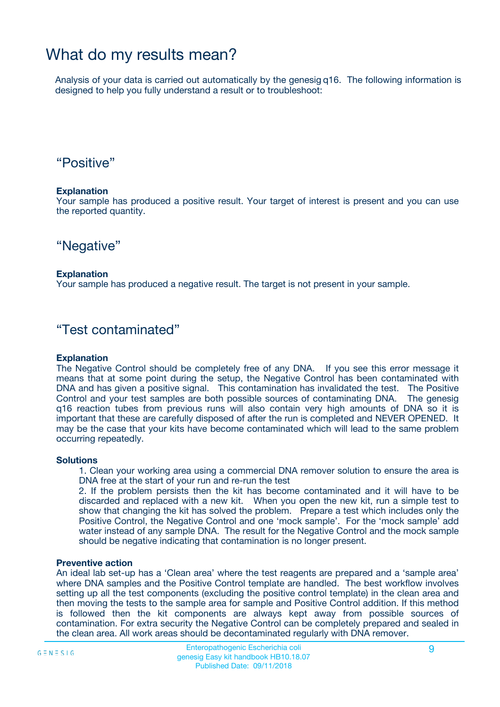### What do my results mean?

Analysis of your data is carried out automatically by the genesig q16. The following information is designed to help you fully understand a result or to troubleshoot:

### "Positive"

#### **Explanation**

Your sample has produced a positive result. Your target of interest is present and you can use the reported quantity.

"Negative"

#### **Explanation**

Your sample has produced a negative result. The target is not present in your sample.

### "Test contaminated"

#### **Explanation**

The Negative Control should be completely free of any DNA. If you see this error message it means that at some point during the setup, the Negative Control has been contaminated with DNA and has given a positive signal. This contamination has invalidated the test. The Positive Control and your test samples are both possible sources of contaminating DNA. The genesig q16 reaction tubes from previous runs will also contain very high amounts of DNA so it is important that these are carefully disposed of after the run is completed and NEVER OPENED. It may be the case that your kits have become contaminated which will lead to the same problem occurring repeatedly.

#### **Solutions**

1. Clean your working area using a commercial DNA remover solution to ensure the area is DNA free at the start of your run and re-run the test

2. If the problem persists then the kit has become contaminated and it will have to be discarded and replaced with a new kit. When you open the new kit, run a simple test to show that changing the kit has solved the problem. Prepare a test which includes only the Positive Control, the Negative Control and one 'mock sample'. For the 'mock sample' add water instead of any sample DNA. The result for the Negative Control and the mock sample should be negative indicating that contamination is no longer present.

#### **Preventive action**

An ideal lab set-up has a 'Clean area' where the test reagents are prepared and a 'sample area' where DNA samples and the Positive Control template are handled. The best workflow involves setting up all the test components (excluding the positive control template) in the clean area and then moving the tests to the sample area for sample and Positive Control addition. If this method is followed then the kit components are always kept away from possible sources of contamination. For extra security the Negative Control can be completely prepared and sealed in the clean area. All work areas should be decontaminated regularly with DNA remover.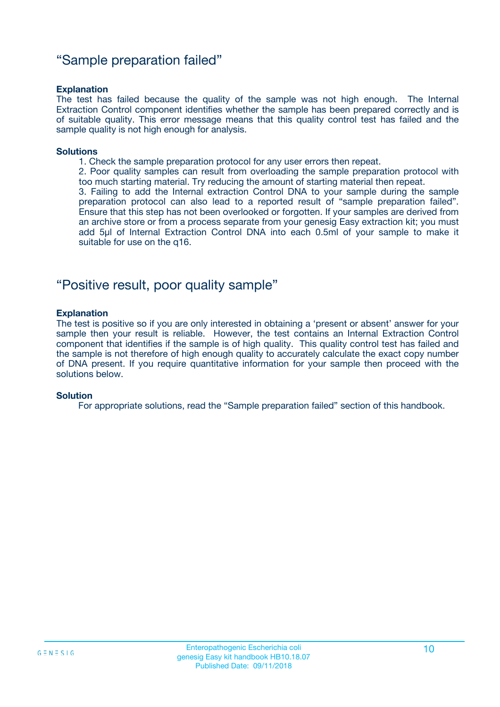### "Sample preparation failed"

#### **Explanation**

The test has failed because the quality of the sample was not high enough. The Internal Extraction Control component identifies whether the sample has been prepared correctly and is of suitable quality. This error message means that this quality control test has failed and the sample quality is not high enough for analysis.

#### **Solutions**

1. Check the sample preparation protocol for any user errors then repeat.

2. Poor quality samples can result from overloading the sample preparation protocol with too much starting material. Try reducing the amount of starting material then repeat.

3. Failing to add the Internal extraction Control DNA to your sample during the sample preparation protocol can also lead to a reported result of "sample preparation failed". Ensure that this step has not been overlooked or forgotten. If your samples are derived from an archive store or from a process separate from your genesig Easy extraction kit; you must add 5µl of Internal Extraction Control DNA into each 0.5ml of your sample to make it suitable for use on the q16.

### "Positive result, poor quality sample"

#### **Explanation**

The test is positive so if you are only interested in obtaining a 'present or absent' answer for your sample then your result is reliable. However, the test contains an Internal Extraction Control component that identifies if the sample is of high quality. This quality control test has failed and the sample is not therefore of high enough quality to accurately calculate the exact copy number of DNA present. If you require quantitative information for your sample then proceed with the solutions below.

#### **Solution**

For appropriate solutions, read the "Sample preparation failed" section of this handbook.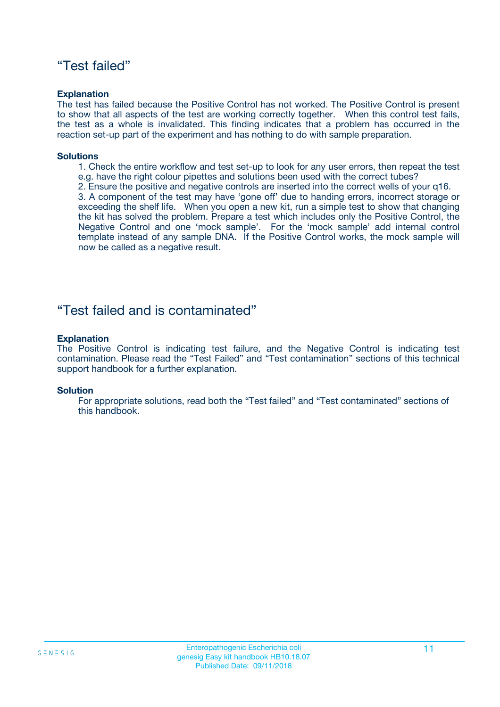### "Test failed"

#### **Explanation**

The test has failed because the Positive Control has not worked. The Positive Control is present to show that all aspects of the test are working correctly together. When this control test fails, the test as a whole is invalidated. This finding indicates that a problem has occurred in the reaction set-up part of the experiment and has nothing to do with sample preparation.

#### **Solutions**

- 1. Check the entire workflow and test set-up to look for any user errors, then repeat the test e.g. have the right colour pipettes and solutions been used with the correct tubes?
- 2. Ensure the positive and negative controls are inserted into the correct wells of your q16.

3. A component of the test may have 'gone off' due to handing errors, incorrect storage or exceeding the shelf life. When you open a new kit, run a simple test to show that changing the kit has solved the problem. Prepare a test which includes only the Positive Control, the Negative Control and one 'mock sample'. For the 'mock sample' add internal control template instead of any sample DNA. If the Positive Control works, the mock sample will now be called as a negative result.

### "Test failed and is contaminated"

#### **Explanation**

The Positive Control is indicating test failure, and the Negative Control is indicating test contamination. Please read the "Test Failed" and "Test contamination" sections of this technical support handbook for a further explanation.

#### **Solution**

For appropriate solutions, read both the "Test failed" and "Test contaminated" sections of this handbook.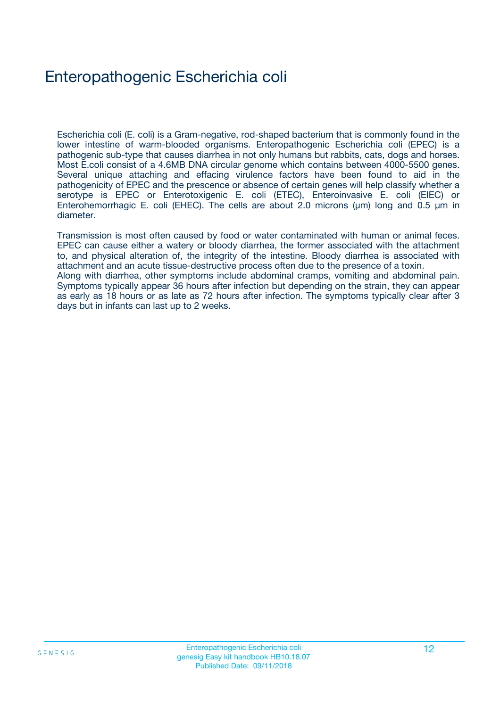## Enteropathogenic Escherichia coli

Escherichia coli (E. coli) is a Gram-negative, rod-shaped bacterium that is commonly found in the lower intestine of warm-blooded organisms. Enteropathogenic Escherichia coli (EPEC) is a pathogenic sub-type that causes diarrhea in not only humans but rabbits, cats, dogs and horses. Most E.coli consist of a 4.6MB DNA circular genome which contains between 4000-5500 genes. Several unique attaching and effacing virulence factors have been found to aid in the pathogenicity of EPEC and the prescence or absence of certain genes will help classify whether a serotype is EPEC or Enterotoxigenic E. coli (ETEC), Enteroinvasive E. coli (EIEC) or Enterohemorrhagic E. coli (EHEC). The cells are about 2.0 microns (μm) long and 0.5 μm in diameter.

Transmission is most often caused by food or water contaminated with human or animal feces. EPEC can cause either a watery or bloody diarrhea, the former associated with the attachment to, and physical alteration of, the integrity of the intestine. Bloody diarrhea is associated with attachment and an acute tissue-destructive process often due to the presence of a toxin. Along with diarrhea, other symptoms include abdominal cramps, vomiting and abdominal pain. Symptoms typically appear 36 hours after infection but depending on the strain, they can appear as early as 18 hours or as late as 72 hours after infection. The symptoms typically clear after 3 days but in infants can last up to 2 weeks.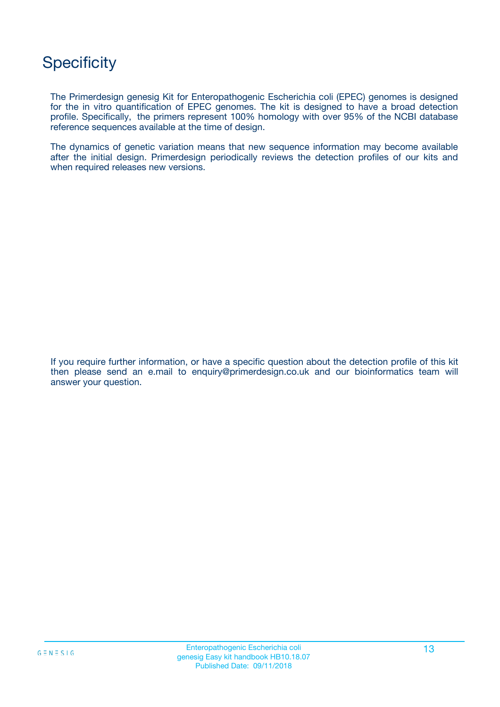## **Specificity**

The Primerdesign genesig Kit for Enteropathogenic Escherichia coli (EPEC) genomes is designed for the in vitro quantification of EPEC genomes. The kit is designed to have a broad detection profile. Specifically, the primers represent 100% homology with over 95% of the NCBI database reference sequences available at the time of design.

The dynamics of genetic variation means that new sequence information may become available after the initial design. Primerdesign periodically reviews the detection profiles of our kits and when required releases new versions.

If you require further information, or have a specific question about the detection profile of this kit then please send an e.mail to enquiry@primerdesign.co.uk and our bioinformatics team will answer your question.